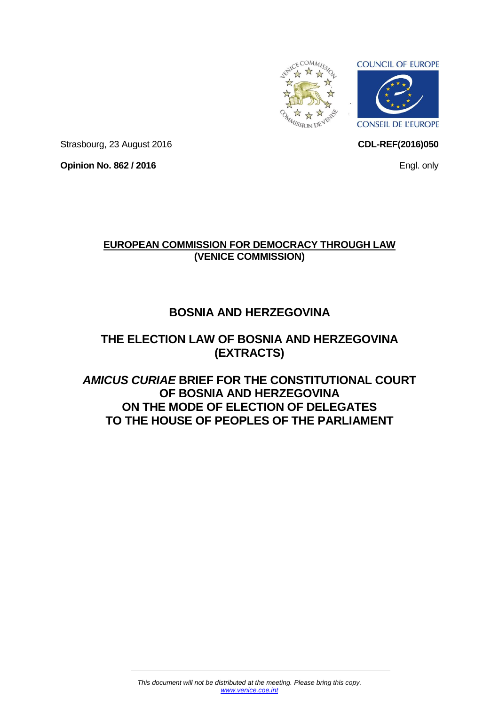



**CDL-REF(2016)050**

Strasbourg, 23 August 2016

**Opinion No. 862 / 2016**

**EUROPEAN COMMISSION FOR DEMOCRACY THROUGH LAW (VENICE COMMISSION)**

# **BOSNIA AND HERZEGOVINA**

# **THE ELECTION LAW OF BOSNIA AND HERZEGOVINA (EXTRACTS)**

*AMICUS CURIAE* **BRIEF FOR THE CONSTITUTIONAL COURT OF BOSNIA AND HERZEGOVINA ON THE MODE OF ELECTION OF DELEGATES TO THE HOUSE OF PEOPLES OF THE PARLIAMENT**

Engl. only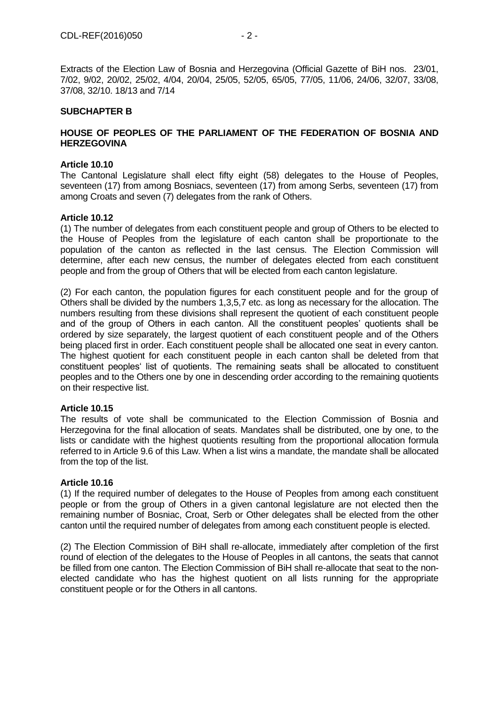Extracts of the Election Law of Bosnia and Herzegovina (Official Gazette of BiH nos. 23/01, 7/02, 9/02, 20/02, 25/02, 4/04, 20/04, 25/05, 52/05, 65/05, 77/05, 11/06, 24/06, 32/07, 33/08, 37/08, 32/10. 18/13 and 7/14

# **SUBCHAPTER B**

# **HOUSE OF PEOPLES OF THE PARLIAMENT OF THE FEDERATION OF BOSNIA AND HERZEGOVINA**

#### **Article 10.10**

The Cantonal Legislature shall elect fifty eight (58) delegates to the House of Peoples, seventeen (17) from among Bosniacs, seventeen (17) from among Serbs, seventeen (17) from among Croats and seven (7) delegates from the rank of Others.

#### **Article 10.12**

(1) The number of delegates from each constituent people and group of Others to be elected to the House of Peoples from the legislature of each canton shall be proportionate to the population of the canton as reflected in the last census. The Election Commission will determine, after each new census, the number of delegates elected from each constituent people and from the group of Others that will be elected from each canton legislature.

(2) For each canton, the population figures for each constituent people and for the group of Others shall be divided by the numbers 1,3,5,7 etc. as long as necessary for the allocation. The numbers resulting from these divisions shall represent the quotient of each constituent people and of the group of Others in each canton. All the constituent peoples' quotients shall be ordered by size separately, the largest quotient of each constituent people and of the Others being placed first in order. Each constituent people shall be allocated one seat in every canton. The highest quotient for each constituent people in each canton shall be deleted from that constituent peoples' list of quotients. The remaining seats shall be allocated to constituent peoples and to the Others one by one in descending order according to the remaining quotients on their respective list.

#### **Article 10.15**

The results of vote shall be communicated to the Election Commission of Bosnia and Herzegovina for the final allocation of seats. Mandates shall be distributed, one by one, to the lists or candidate with the highest quotients resulting from the proportional allocation formula referred to in Article 9.6 of this Law. When a list wins a mandate, the mandate shall be allocated from the top of the list.

#### **Article 10.16**

(1) If the required number of delegates to the House of Peoples from among each constituent people or from the group of Others in a given cantonal legislature are not elected then the remaining number of Bosniac, Croat, Serb or Other delegates shall be elected from the other canton until the required number of delegates from among each constituent people is elected.

(2) The Election Commission of BiH shall re-allocate, immediately after completion of the first round of election of the delegates to the House of Peoples in all cantons, the seats that cannot be filled from one canton. The Election Commission of BiH shall re-allocate that seat to the nonelected candidate who has the highest quotient on all lists running for the appropriate constituent people or for the Others in all cantons.